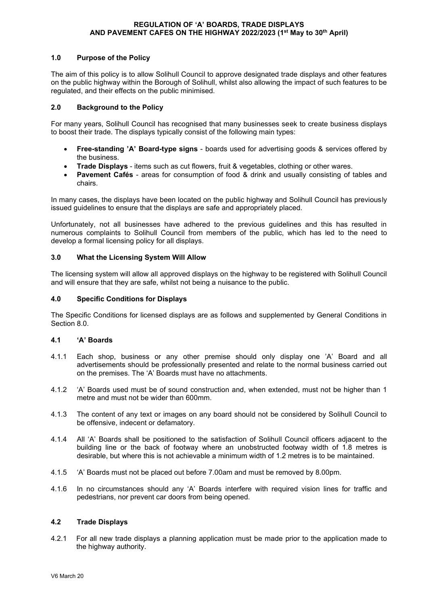### **REGULATION OF 'A' BOARDS, TRADE DISPLAYS AND PAVEMENT CAFES ON THE HIGHWAY 2022/2023 (1st May to 30th April)**

### **1.0 Purpose of the Policy**

The aim of this policy is to allow Solihull Council to approve designated trade displays and other features on the public highway within the Borough of Solihull, whilst also allowing the impact of such features to be regulated, and their effects on the public minimised.

### **2.0 Background to the Policy**

For many years, Solihull Council has recognised that many businesses seek to create business displays to boost their trade. The displays typically consist of the following main types:

- **Free-standing 'A' Board-type signs** boards used for advertising goods & services offered by the business.
- **Trade Displays** items such as cut flowers, fruit & vegetables, clothing or other wares.
- **Pavement Cafés** areas for consumption of food & drink and usually consisting of tables and chairs.

In many cases, the displays have been located on the public highway and Solihull Council has previously issued guidelines to ensure that the displays are safe and appropriately placed.

Unfortunately, not all businesses have adhered to the previous guidelines and this has resulted in numerous complaints to Solihull Council from members of the public, which has led to the need to develop a formal licensing policy for all displays.

### **3.0 What the Licensing System Will Allow**

The licensing system will allow all approved displays on the highway to be registered with Solihull Council and will ensure that they are safe, whilst not being a nuisance to the public.

### **4.0 Specific Conditions for Displays**

The Specific Conditions for licensed displays are as follows and supplemented by General Conditions in Section 8.0.

### **4.1 'A' Boards**

- 4.1.1 Each shop, business or any other premise should only display one 'A' Board and all advertisements should be professionally presented and relate to the normal business carried out on the premises. The 'A' Boards must have no attachments.
- 4.1.2 'A' Boards used must be of sound construction and, when extended, must not be higher than 1 metre and must not be wider than 600mm.
- 4.1.3 The content of any text or images on any board should not be considered by Solihull Council to be offensive, indecent or defamatory.
- 4.1.4 All 'A' Boards shall be positioned to the satisfaction of Solihull Council officers adjacent to the building line or the back of footway where an unobstructed footway width of 1.8 metres is desirable, but where this is not achievable a minimum width of 1.2 metres is to be maintained.
- 4.1.5 'A' Boards must not be placed out before 7.00am and must be removed by 8.00pm.
- 4.1.6 In no circumstances should any 'A' Boards interfere with required vision lines for traffic and pedestrians, nor prevent car doors from being opened.

### **4.2 Trade Displays**

4.2.1 For all new trade displays a planning application must be made prior to the application made to the highway authority.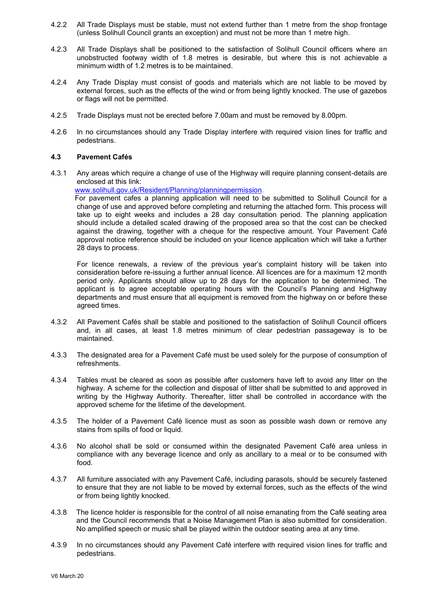- 4.2.2 All Trade Displays must be stable, must not extend further than 1 metre from the shop frontage (unless Solihull Council grants an exception) and must not be more than 1 metre high.
- 4.2.3 All Trade Displays shall be positioned to the satisfaction of Solihull Council officers where an unobstructed footway width of 1.8 metres is desirable, but where this is not achievable a minimum width of 1.2 metres is to be maintained.
- 4.2.4 Any Trade Display must consist of goods and materials which are not liable to be moved by external forces, such as the effects of the wind or from being lightly knocked. The use of gazebos or flags will not be permitted.
- 4.2.5 Trade Displays must not be erected before 7.00am and must be removed by 8.00pm.
- 4.2.6 In no circumstances should any Trade Display interfere with required vision lines for traffic and pedestrians.

### **4.3 Pavement Cafés**

4.3.1 Any areas which require a change of use of the Highway will require planning consent-details are enclosed at this link:

[www.solihull.gov.uk/Resident/Planning/planningpermission.](http://www.solihull.gov.uk/Resident/Planning/planningpermission)

 For pavement cafes a planning application will need to be submitted to Solihull Council for a change of use and approved before completing and returning the attached form. This process will take up to eight weeks and includes a 28 day consultation period. The planning application should include a detailed scaled drawing of the proposed area so that the cost can be checked against the drawing, together with a cheque for the respective amount. Your Pavement Café approval notice reference should be included on your licence application which will take a further 28 days to process.

For licence renewals, a review of the previous year's complaint history will be taken into consideration before re-issuing a further annual licence. All licences are for a maximum 12 month period only. Applicants should allow up to 28 days for the application to be determined. The applicant is to agree acceptable operating hours with the Council's Planning and Highway departments and must ensure that all equipment is removed from the highway on or before these agreed times.

- 4.3.2 All Pavement Cafés shall be stable and positioned to the satisfaction of Solihull Council officers and, in all cases, at least 1.8 metres minimum of clear pedestrian passageway is to be maintained.
- 4.3.3 The designated area for a Pavement Café must be used solely for the purpose of consumption of refreshments.
- 4.3.4 Tables must be cleared as soon as possible after customers have left to avoid any litter on the highway. A scheme for the collection and disposal of litter shall be submitted to and approved in writing by the Highway Authority. Thereafter, litter shall be controlled in accordance with the approved scheme for the lifetime of the development.
- 4.3.5 The holder of a Pavement Café licence must as soon as possible wash down or remove any stains from spills of food or liquid.
- 4.3.6 No alcohol shall be sold or consumed within the designated Pavement Café area unless in compliance with any beverage licence and only as ancillary to a meal or to be consumed with food.
- 4.3.7 All furniture associated with any Pavement Café, including parasols, should be securely fastened to ensure that they are not liable to be moved by external forces, such as the effects of the wind or from being lightly knocked.
- 4.3.8 The licence holder is responsible for the control of all noise emanating from the Café seating area and the Council recommends that a Noise Management Plan is also submitted for consideration. No amplified speech or music shall be played within the outdoor seating area at any time.
- 4.3.9 In no circumstances should any Pavement Café interfere with required vision lines for traffic and pedestrians.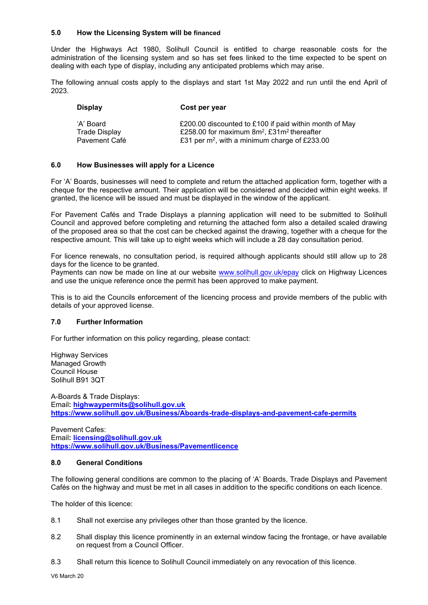### **5.0 How the Licensing System will be financed**

Under the Highways Act 1980, Solihull Council is entitled to charge reasonable costs for the administration of the licensing system and so has set fees linked to the time expected to be spent on dealing with each type of display, including any anticipated problems which may arise.

The following annual costs apply to the displays and start 1st May 2022 and run until the end April of 2023.

| Display       | Cost per year                                             |
|---------------|-----------------------------------------------------------|
| ʻA' Board     | £200.00 discounted to £100 if paid within month of May    |
| Trade Display | £258.00 for maximum $8m^2$ , £31m <sup>2</sup> thereafter |
| Pavement Café | £31 per $m^2$ , with a minimum charge of £233.00          |

### **6.0 How Businesses will apply for a Licence**

For 'A' Boards, businesses will need to complete and return the attached application form, together with a cheque for the respective amount. Their application will be considered and decided within eight weeks. If granted, the licence will be issued and must be displayed in the window of the applicant.

For Pavement Cafés and Trade Displays a planning application will need to be submitted to Solihull Council and approved before completing and returning the attached form also a detailed scaled drawing of the proposed area so that the cost can be checked against the drawing, together with a cheque for the respective amount. This will take up to eight weeks which will include a 28 day consultation period.

For licence renewals, no consultation period, is required although applicants should still allow up to 28 days for the licence to be granted.

Payments can now be made on line at our website [www.solihull.gov.uk/epay](http://www.solihull.gov.uk/epay) click on Highway Licences and use the unique reference once the permit has been approved to make payment.

This is to aid the Councils enforcement of the licencing process and provide members of the public with details of your approved license.

## **7.0 Further Information**

For further information on this policy regarding, please contact:

Highway Services Managed Growth Council House Solihull B91 3QT

A-Boards & Trade Displays: Email**: [highwaypermits@solihull.gov.uk](mailto:highwaypermits@solihull.gov.uk) <https://www.solihull.gov.uk/Business/Aboards-trade-displays-and-pavement-cafe-permits>**

Pavement Cafes: Email**: [licensing@solihull.gov.uk](mailto:licensing@solihull.gov.uk) <https://www.solihull.gov.uk/Business/Pavementlicence>**

### **8.0 General Conditions**

The following general conditions are common to the placing of 'A' Boards, Trade Displays and Pavement Cafés on the highway and must be met in all cases in addition to the specific conditions on each licence.

The holder of this licence:

- 8.1 Shall not exercise any privileges other than those granted by the licence.
- 8.2 Shall display this licence prominently in an external window facing the frontage, or have available on request from a Council Officer.
- 8.3 Shall return this licence to Solihull Council immediately on any revocation of this licence.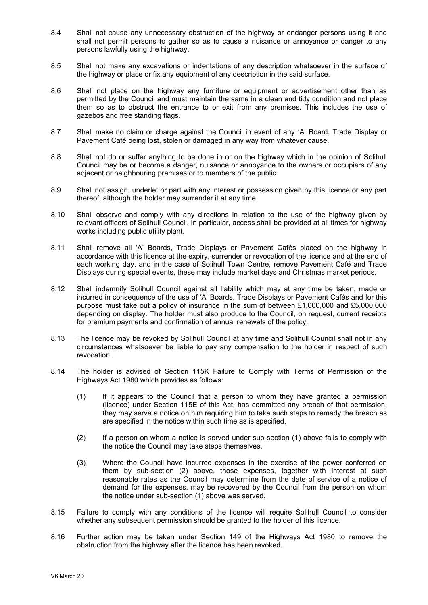- 8.4 Shall not cause any unnecessary obstruction of the highway or endanger persons using it and shall not permit persons to gather so as to cause a nuisance or annoyance or danger to any persons lawfully using the highway.
- 8.5 Shall not make any excavations or indentations of any description whatsoever in the surface of the highway or place or fix any equipment of any description in the said surface.
- 8.6 Shall not place on the highway any furniture or equipment or advertisement other than as permitted by the Council and must maintain the same in a clean and tidy condition and not place them so as to obstruct the entrance to or exit from any premises. This includes the use of gazebos and free standing flags.
- 8.7 Shall make no claim or charge against the Council in event of any 'A' Board, Trade Display or Pavement Café being lost, stolen or damaged in any way from whatever cause.
- 8.8 Shall not do or suffer anything to be done in or on the highway which in the opinion of Solihull Council may be or become a danger, nuisance or annoyance to the owners or occupiers of any adjacent or neighbouring premises or to members of the public.
- 8.9 Shall not assign, underlet or part with any interest or possession given by this licence or any part thereof, although the holder may surrender it at any time.
- 8.10 Shall observe and comply with any directions in relation to the use of the highway given by relevant officers of Solihull Council. In particular, access shall be provided at all times for highway works including public utility plant.
- 8.11 Shall remove all 'A' Boards, Trade Displays or Pavement Cafés placed on the highway in accordance with this licence at the expiry, surrender or revocation of the licence and at the end of each working day, and in the case of Solihull Town Centre, remove Pavement Café and Trade Displays during special events, these may include market days and Christmas market periods.
- 8.12 Shall indemnify Solihull Council against all liability which may at any time be taken, made or incurred in consequence of the use of 'A' Boards, Trade Displays or Pavement Cafés and for this purpose must take out a policy of insurance in the sum of between £1,000,000 and £5,000,000 depending on display. The holder must also produce to the Council, on request, current receipts for premium payments and confirmation of annual renewals of the policy.
- 8.13 The licence may be revoked by Solihull Council at any time and Solihull Council shall not in any circumstances whatsoever be liable to pay any compensation to the holder in respect of such revocation.
- 8.14 The holder is advised of Section 115K Failure to Comply with Terms of Permission of the Highways Act 1980 which provides as follows:
	- (1) If it appears to the Council that a person to whom they have granted a permission (licence) under Section 115E of this Act, has committed any breach of that permission, they may serve a notice on him requiring him to take such steps to remedy the breach as are specified in the notice within such time as is specified.
	- (2) If a person on whom a notice is served under sub-section (1) above fails to comply with the notice the Council may take steps themselves.
	- (3) Where the Council have incurred expenses in the exercise of the power conferred on them by sub-section (2) above, those expenses, together with interest at such reasonable rates as the Council may determine from the date of service of a notice of demand for the expenses, may be recovered by the Council from the person on whom the notice under sub-section (1) above was served.
- 8.15 Failure to comply with any conditions of the licence will require Solihull Council to consider whether any subsequent permission should be granted to the holder of this licence.
- 8.16 Further action may be taken under Section 149 of the Highways Act 1980 to remove the obstruction from the highway after the licence has been revoked.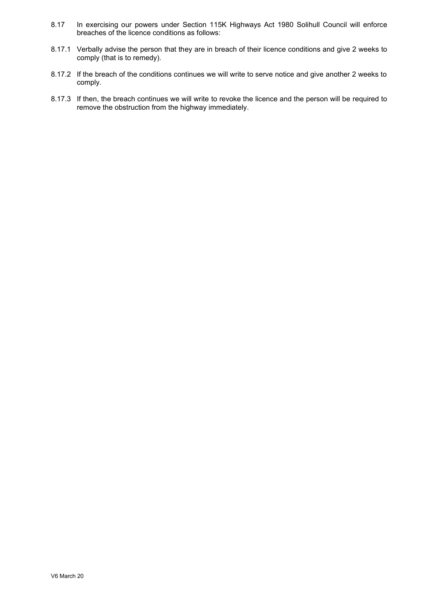- 8.17 In exercising our powers under Section 115K Highways Act 1980 Solihull Council will enforce breaches of the licence conditions as follows:
- 8.17.1 Verbally advise the person that they are in breach of their licence conditions and give 2 weeks to comply (that is to remedy).
- 8.17.2 If the breach of the conditions continues we will write to serve notice and give another 2 weeks to comply.
- 8.17.3 If then, the breach continues we will write to revoke the licence and the person will be required to remove the obstruction from the highway immediately.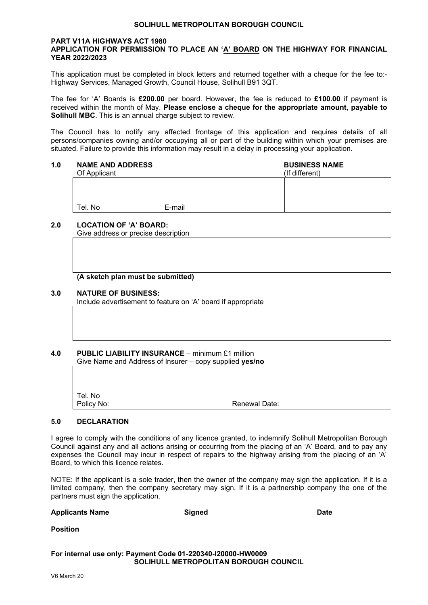### **SOLIHULL METROPOLITAN BOROUGH COUNCIL**

### **PART V11A HIGHWAYS ACT 1980 APPLICATION FOR PERMISSION TO PLACE AN 'A' BOARD ON THE HIGHWAY FOR FINANCIAL YEAR 2022/2023**

This application must be completed in block letters and returned together with a cheque for the fee to:- Highway Services, Managed Growth, Council House, Solihull B91 3QT.

The fee for 'A' Boards is **£200.00** per board. However, the fee is reduced to **£100.00** if payment is received within the month of May. **Please enclose a cheque for the appropriate amount**, **payable to Solihull MBC**. This is an annual charge subject to review.

The Council has to notify any affected frontage of this application and requires details of all persons/companies owning and/or occupying all or part of the building within which your premises are situated. Failure to provide this information may result in a delay in processing your application.

**1.0 NAME AND ADDRESS BUSINESS NAME**<br>
Of Applicant **COMPUTER** Of Applicant Tel. No **E-mail** 

## **2.0 LOCATION OF 'A' BOARD:**

Give address or precise description

### **(A sketch plan must be submitted)**

### **3.0 NATURE OF BUSINESS:**

Include advertisement to feature on 'A' board if appropriate

### **4.0 PUBLIC LIABILITY INSURANCE** – minimum £1 million Give Name and Address of Insurer – copy supplied **yes/no**

| Tel. No<br>Policy No: | Renewal Date: |  |
|-----------------------|---------------|--|

## **5.0 DECLARATION**

I agree to comply with the conditions of any licence granted, to indemnify Solihull Metropolitan Borough Council against any and all actions arising or occurring from the placing of an 'A' Board, and to pay any expenses the Council may incur in respect of repairs to the highway arising from the placing of an 'A' Board, to which this licence relates.

NOTE: If the applicant is a sole trader, then the owner of the company may sign the application. If it is a limited company, then the company secretary may sign. If it is a partnership company the one of the partners must sign the application.

| <b>Applicants Name</b>                                      | Signed | <b>Date</b> |  |  |  |  |
|-------------------------------------------------------------|--------|-------------|--|--|--|--|
| <b>Position</b>                                             |        |             |  |  |  |  |
| For internal use only: Payment Code 01-220340-I20000-HW0009 |        |             |  |  |  |  |

## **SOLIHULL METROPOLITAN BOROUGH COUNCIL**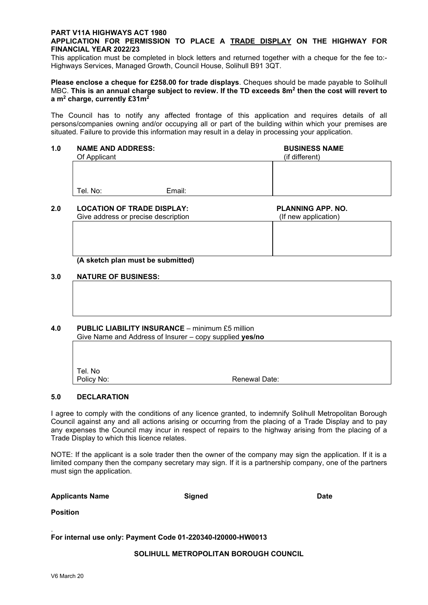## **PART V11A HIGHWAYS ACT 1980**

## **APPLICATION FOR PERMISSION TO PLACE A TRADE DISPLAY ON THE HIGHWAY FOR FINANCIAL YEAR 2022/23**

This application must be completed in block letters and returned together with a cheque for the fee to:- Highways Services, Managed Growth, Council House, Solihull B91 3QT.

**Please enclose a cheque for £258.00 for trade displays**. Cheques should be made payable to Solihull MBC. **This is an annual charge subject to review. If the TD exceeds 8m<sup>2</sup> then the cost will revert to a m<sup>2</sup> charge, currently £31m<sup>2</sup>**

The Council has to notify any affected frontage of this application and requires details of all persons/companies owning and/or occupying all or part of the building within which your premises are situated. Failure to provide this information may result in a delay in processing your application.

# **1.0 NAME AND ADDRESS: BUSINESS NAME**<br>
Of Applicant **COMPUTE AND ADDRESS: BUSINESS NAME**

Of Applicant

Tel. No: Email:

### **2.0 LOCATION OF TRADE DISPLAY: PLANNING APP. NO.**<br>Give address or precise description (If new application) Give address or precise description

### **(A sketch plan must be submitted)**

### **3.0 NATURE OF BUSINESS:**

### **4.0 PUBLIC LIABILITY INSURANCE** – minimum £5 million Give Name and Address of Insurer – copy supplied **yes/no**

| Tel. No<br>Policy No: | Renewal Date: |
|-----------------------|---------------|

## **5.0 DECLARATION**

I agree to comply with the conditions of any licence granted, to indemnify Solihull Metropolitan Borough Council against any and all actions arising or occurring from the placing of a Trade Display and to pay any expenses the Council may incur in respect of repairs to the highway arising from the placing of a Trade Display to which this licence relates.

NOTE: If the applicant is a sole trader then the owner of the company may sign the application. If it is a limited company then the company secretary may sign. If it is a partnership company, one of the partners must sign the application.

**Applicants Name Signed Date**

**Position**

### . **For internal use only: Payment Code 01-220340-I20000-HW0013**

**SOLIHULL METROPOLITAN BOROUGH COUNCIL**